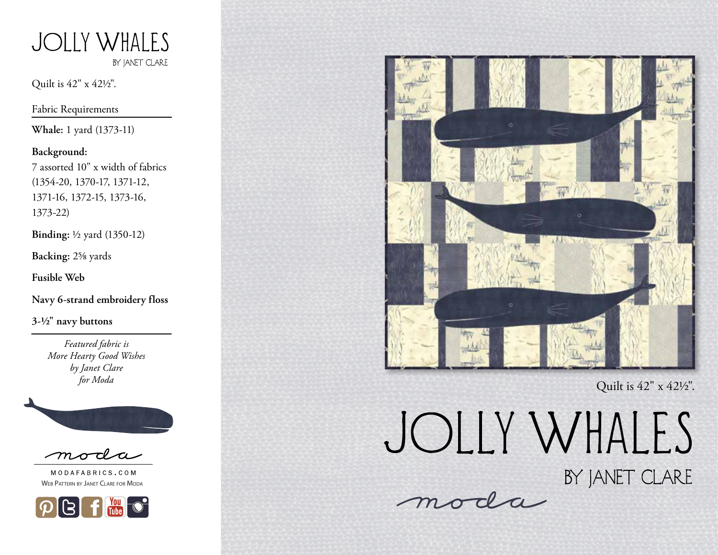

Quilt is 42" x 421/2".

Fabric Requirements

**Whale:** 1 yard (1373-11)

#### **Background:**

7 assorted 10" x width of fabrics (1354-20, 1370-17, 1371-12, 1371-16, 1372-15, 1373-16, 1373-22)

**Binding:** 1/2 yard (1350-12)

**Backing:** 25/8 yards

**Fusible Web**

**Navy 6-strand embroidery floss** 

**3-1/2" navy buttons**

*Featured fabric is More Hearty Good Wishes by Janet Clare for Moda*



moda

MODAFABRICS.COM Web Pattern by Janet Clare for Moda





Quilt is 42" x 421/2".

JOLLY WHALES

BY JANET CLARE

moda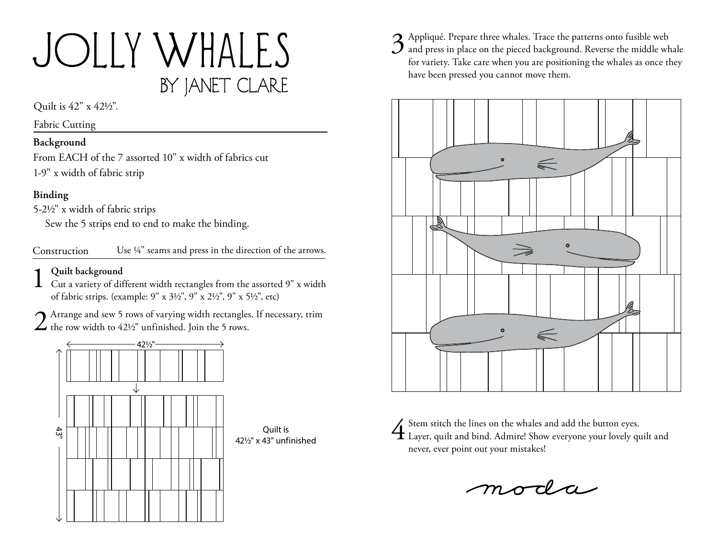# JOLLY WHALES BY JANET CLARE

Quilt is 42" x 421/2".

Fabric Cutting

### **Background**

From EACH of the 7 assorted 10" x width of fabrics cut 1-9" x width of fabric strip

## **Binding**

5-21/2" x width of fabric strips

Sew the 5 strips end to end to make the binding.

Construction Use 1/4" seams and press in the direction of the arrows.

**1** Quilt background<br>
Cut a variety of different width rectangles from the assorted 9" x width of fabric strips. (example: 9" x 31/2", 9" x 21/2", 9" x 51/2", etc)

2 Arrange and sew 5 rows of varying width rectangles. If necessary, trim  $\angle$  the row width to 42½" unfinished. Join the 5 rows.



3 Appliqué. Prepare three whales. Trace the patterns onto fusible web<br>and press in place on the pieced background. Reverse the middle whale for variety. Take care when you are positioning the whales as once they have been pressed you cannot move them.



4Stem stitch the lines on the whales and add the button eyes. Layer, quilt and bind. Admire! Show everyone your lovely quilt and never, ever point out your mistakes!

moda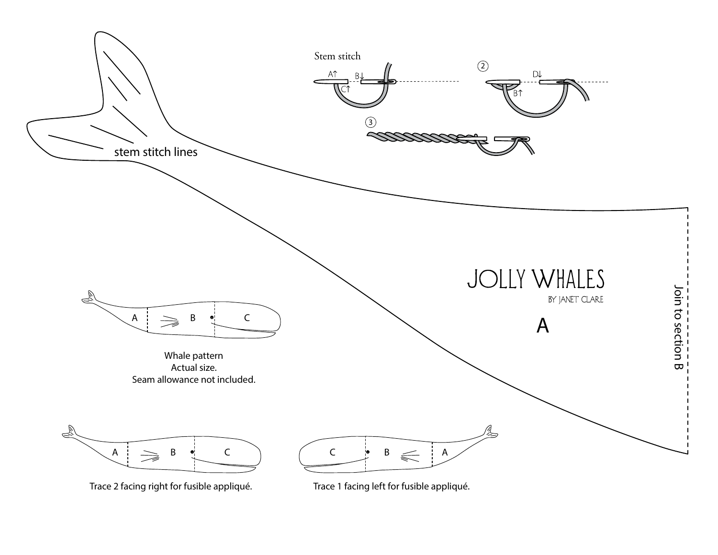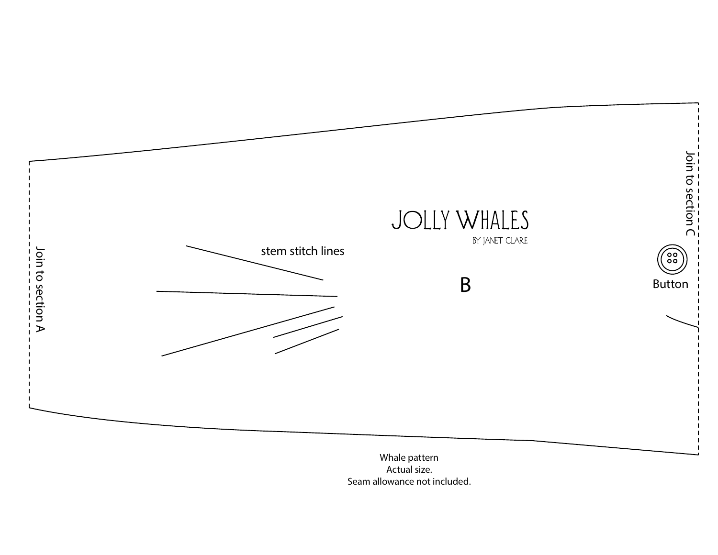

Actual size.<br>Seam allowance not included.